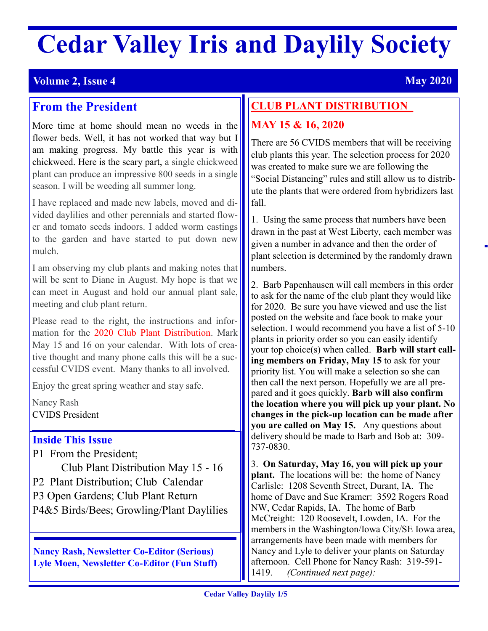# **Cedar Valley Iris and Daylily Society**

# **May 2020 May 2020**

# **From the President**

More time at home should mean no weeds in the flower beds. Well, it has not worked that way but I am making progress. My battle this year is with chickweed. Here is the scary part, a single chickweed plant can produce an impressive 800 seeds in a single season. I will be weeding all summer long.

I have replaced and made new labels, moved and divided daylilies and other perennials and started flower and tomato seeds indoors. I added worm castings to the garden and have started to put down new mulch.

I am observing my club plants and making notes that will be sent to Diane in August. My hope is that we can meet in August and hold our annual plant sale, meeting and club plant return.

Please read to the right, the instructions and information for the 2020 Club Plant Distribution. Mark May 15 and 16 on your calendar. With lots of creative thought and many phone calls this will be a successful CVIDS event. Many thanks to all involved.

Enjoy the great spring weather and stay safe.

Nancy Rash CVIDS President

## **Inside This Issue**

P1 From the President; Club Plant Distribution May 15 - 16 P2 Plant Distribution; Club Calendar P3 Open Gardens; Club Plant Return P4&5 Birds/Bees; Growling/Plant Daylilies

**Nancy Rash, Newsletter Co-Editor (Serious) Lyle Moen, Newsletter Co-Editor (Fun Stuff)**

# **CLUB PLANT DISTRIBUTION**

# **MAY 15 & 16, 2020**

There are 56 CVIDS members that will be receiving club plants this year. The selection process for 2020 was created to make sure we are following the "Social Distancing" rules and still allow us to distribute the plants that were ordered from hybridizers last fall.

1. Using the same process that numbers have been drawn in the past at West Liberty, each member was given a number in advance and then the order of plant selection is determined by the randomly drawn numbers.

2. Barb Papenhausen will call members in this order to ask for the name of the club plant they would like for 2020. Be sure you have viewed and use the list posted on the website and face book to make your selection. I would recommend you have a list of 5-10 plants in priority order so you can easily identify your top choice(s) when called. **Barb will start calling members on Friday, May 15** to ask for your priority list. You will make a selection so she can then call the next person. Hopefully we are all prepared and it goes quickly. **Barb will also confirm the location where you will pick up your plant. No changes in the pick-up location can be made after you are called on May 15.** Any questions about delivery should be made to Barb and Bob at: 309- 737-0830.

3. **On Saturday, May 16, you will pick up your plant.** The locations will be: the home of Nancy Carlisle: 1208 Seventh Street, Durant, IA. The home of Dave and Sue Kramer: 3592 Rogers Road NW, Cedar Rapids, IA. The home of Barb McCreight: 120 Roosevelt, Lowden, IA. For the members in the Washington/Iowa City/SE Iowa area, arrangements have been made with members for Nancy and Lyle to deliver your plants on Saturday afternoon. Cell Phone for Nancy Rash: 319-591- 1419. *(Continued next page):*